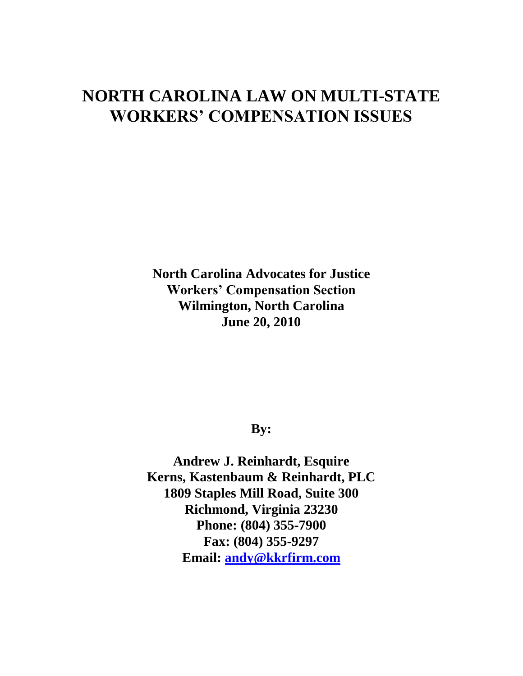# **NORTH CAROLINA LAW ON MULTI-STATE WORKERS' COMPENSATION ISSUES**

**North Carolina Advocates for Justice Workers' Compensation Section Wilmington, North Carolina June 20, 2010**

# **By:**

**Andrew J. Reinhardt, Esquire Kerns, Kastenbaum & Reinhardt, PLC 1809 Staples Mill Road, Suite 300 Richmond, Virginia 23230 Phone: (804) 355-7900 Fax: (804) 355-9297 Email: [andy@kkrfirm.com](mailto:andy@kkrfirm.com)**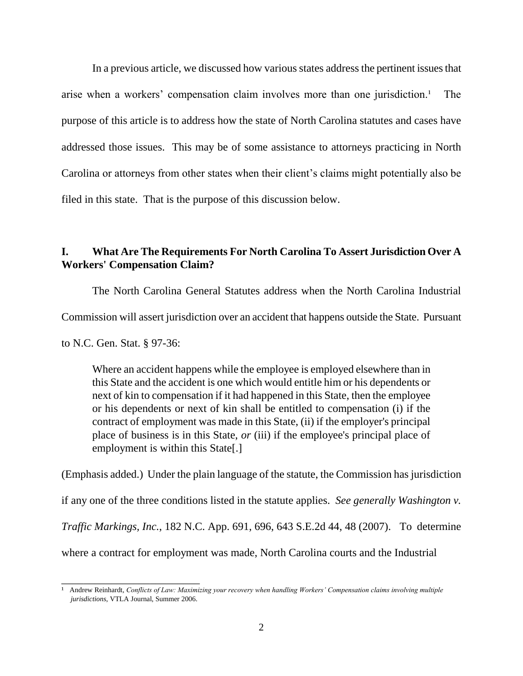In a previous article, we discussed how various states address the pertinent issues that arise when a workers' compensation claim involves more than one jurisdiction.<sup>1</sup> The purpose of this article is to address how the state of North Carolina statutes and cases have addressed those issues. This may be of some assistance to attorneys practicing in North Carolina or attorneys from other states when their client's claims might potentially also be filed in this state. That is the purpose of this discussion below.

#### **I. What Are The Requirements For North Carolina To Assert Jurisdiction Over A Workers' Compensation Claim?**

The North Carolina General Statutes address when the North Carolina Industrial Commission will assert jurisdiction over an accident that happens outside the State. Pursuant

to N.C. Gen. Stat. § 97-36:

\_\_\_\_\_\_\_\_\_\_\_\_\_\_\_\_\_\_\_\_\_\_\_\_\_

Where an accident happens while the employee is employed elsewhere than in this State and the accident is one which would entitle him or his dependents or next of kin to compensation if it had happened in this State, then the employee or his dependents or next of kin shall be entitled to compensation (i) if the contract of employment was made in this State, (ii) if the employer's principal place of business is in this State, *or* (iii) if the employee's principal place of employment is within this State[.]

(Emphasis added.) Under the plain language of the statute, the Commission has jurisdiction

if any one of the three conditions listed in the statute applies. *See generally Washington v.* 

*Traffic Markings, Inc.*, 182 N.C. App. 691, 696, 643 S.E.2d 44, 48 (2007). To determine

where a contract for employment was made, North Carolina courts and the Industrial

<sup>&</sup>lt;sup>1</sup> Andrew Reinhardt, *Conflicts of Law: Maximizing your recovery when handling Workers' Compensation claims involving multiple jurisdictions*, VTLA Journal, Summer 2006.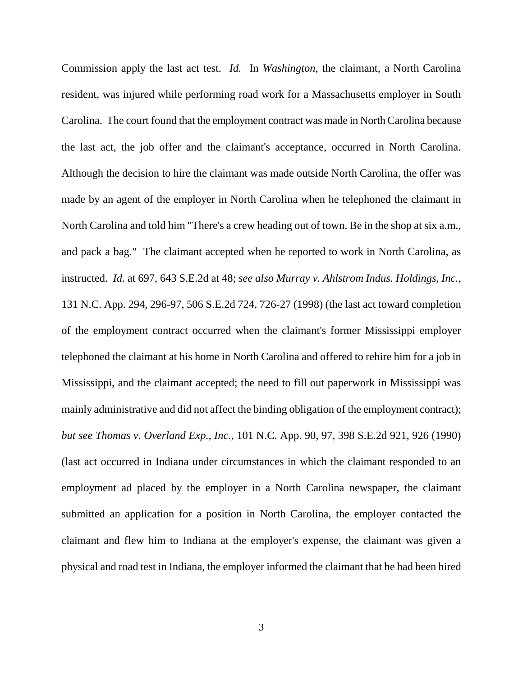Commission apply the last act test. *Id.* In *Washington*, the claimant, a North Carolina resident, was injured while performing road work for a Massachusetts employer in South Carolina. The court found that the employment contract was made in North Carolina because the last act, the job offer and the claimant's acceptance, occurred in North Carolina. Although the decision to hire the claimant was made outside North Carolina, the offer was made by an agent of the employer in North Carolina when he telephoned the claimant in North Carolina and told him "There's a crew heading out of town. Be in the shop at six a.m., and pack a bag." The claimant accepted when he reported to work in North Carolina, as instructed. *Id.* at 697, 643 S.E.2d at 48; *see also Murray v. Ahlstrom Indus. Holdings, Inc.*, 131 N.C. App. 294, 296-97, 506 S.E.2d 724, 726-27 (1998) (the last act toward completion of the employment contract occurred when the claimant's former Mississippi employer telephoned the claimant at his home in North Carolina and offered to rehire him for a job in Mississippi, and the claimant accepted; the need to fill out paperwork in Mississippi was mainly administrative and did not affect the binding obligation of the employment contract); *but see Thomas v. Overland Exp., Inc.*, 101 N.C. App. 90, 97, 398 S.E.2d 921, 926 (1990) (last act occurred in Indiana under circumstances in which the claimant responded to an employment ad placed by the employer in a North Carolina newspaper, the claimant submitted an application for a position in North Carolina, the employer contacted the claimant and flew him to Indiana at the employer's expense, the claimant was given a physical and road test in Indiana, the employer informed the claimant that he had been hired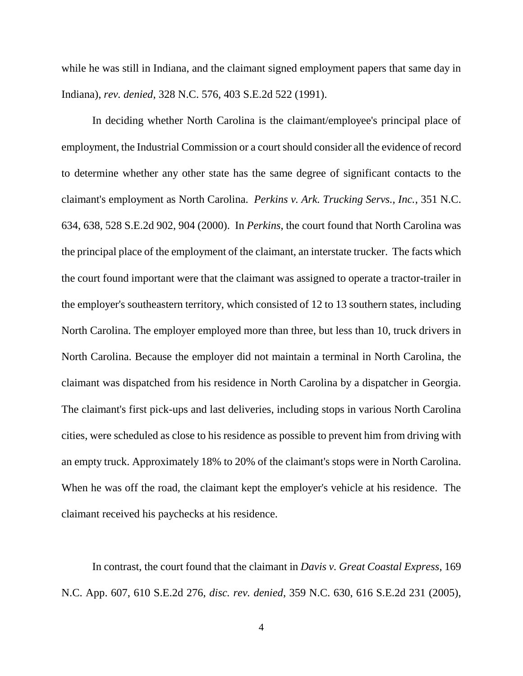while he was still in Indiana, and the claimant signed employment papers that same day in Indiana), *rev. denied*, 328 N.C. 576, 403 S.E.2d 522 (1991).

In deciding whether North Carolina is the claimant/employee's principal place of employment, the Industrial Commission or a court should consider all the evidence of record to determine whether any other state has the same degree of significant contacts to the claimant's employment as North Carolina. *Perkins v. Ark. Trucking Servs., Inc.*, 351 N.C. 634, 638, 528 S.E.2d 902, 904 (2000). In *Perkins*, the court found that North Carolina was the principal place of the employment of the claimant, an interstate trucker. The facts which the court found important were that the claimant was assigned to operate a tractor-trailer in the employer's southeastern territory, which consisted of 12 to 13 southern states, including North Carolina. The employer employed more than three, but less than 10, truck drivers in North Carolina. Because the employer did not maintain a terminal in North Carolina, the claimant was dispatched from his residence in North Carolina by a dispatcher in Georgia. The claimant's first pick-ups and last deliveries, including stops in various North Carolina cities, were scheduled as close to his residence as possible to prevent him from driving with an empty truck. Approximately 18% to 20% of the claimant's stops were in North Carolina. When he was off the road, the claimant kept the employer's vehicle at his residence. The claimant received his paychecks at his residence.

In contrast, the court found that the claimant in *Davis v. Great Coastal Express*, 169 N.C. App. 607, 610 S.E.2d 276, *disc. rev. denied*, 359 N.C. 630, 616 S.E.2d 231 (2005),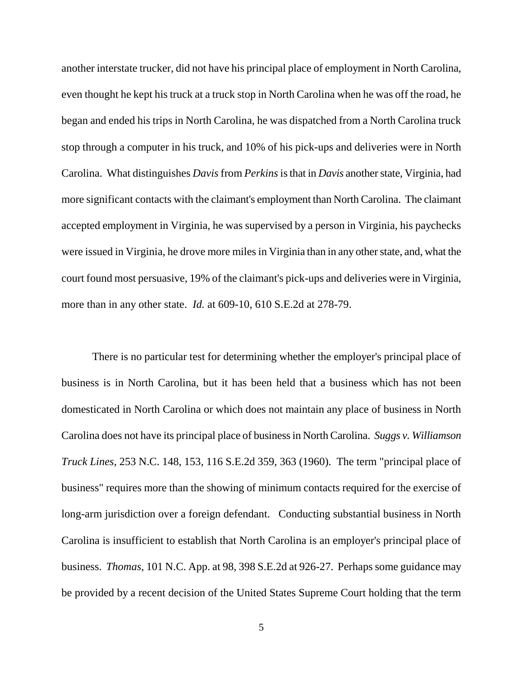another interstate trucker, did not have his principal place of employment in North Carolina, even thought he kept his truck at a truck stop in North Carolina when he was off the road, he began and ended his trips in North Carolina, he was dispatched from a North Carolina truck stop through a computer in his truck, and 10% of his pick-ups and deliveries were in North Carolina. What distinguishes *Davis*from *Perkins*is that in *Davis* another state, Virginia, had more significant contacts with the claimant's employment than North Carolina. The claimant accepted employment in Virginia, he was supervised by a person in Virginia, his paychecks were issued in Virginia, he drove more miles in Virginia than in any other state, and, what the court found most persuasive, 19% of the claimant's pick-ups and deliveries were in Virginia, more than in any other state. *Id.* at 609-10, 610 S.E.2d at 278-79.

There is no particular test for determining whether the employer's principal place of business is in North Carolina, but it has been held that a business which has not been domesticated in North Carolina or which does not maintain any place of business in North Carolina does not have its principal place of business in North Carolina. *Suggs v. Williamson Truck Lines*, 253 N.C. 148, 153, 116 S.E.2d 359, 363 (1960). The term "principal place of business" requires more than the showing of minimum contacts required for the exercise of long-arm jurisdiction over a foreign defendant. Conducting substantial business in North Carolina is insufficient to establish that North Carolina is an employer's principal place of business. *Thomas*, 101 N.C. App. at 98, 398 S.E.2d at 926-27. Perhaps some guidance may be provided by a recent decision of the United States Supreme Court holding that the term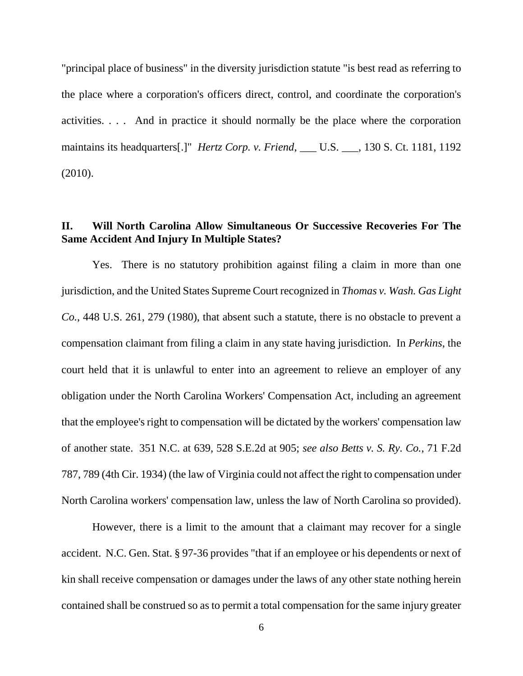"principal place of business" in the diversity jurisdiction statute "is best read as referring to the place where a corporation's officers direct, control, and coordinate the corporation's activities. . . . And in practice it should normally be the place where the corporation maintains its headquarters[.]" *Hertz Corp. v. Friend*, \_\_\_ U.S. \_\_\_, 130 S. Ct. 1181, 1192 (2010).

## **II. Will North Carolina Allow Simultaneous Or Successive Recoveries For The Same Accident And Injury In Multiple States?**

Yes. There is no statutory prohibition against filing a claim in more than one jurisdiction, and the United States Supreme Court recognized in *Thomas v. Wash. Gas Light Co.*, 448 U.S. 261, 279 (1980), that absent such a statute, there is no obstacle to prevent a compensation claimant from filing a claim in any state having jurisdiction. In *Perkins*, the court held that it is unlawful to enter into an agreement to relieve an employer of any obligation under the North Carolina Workers' Compensation Act, including an agreement that the employee's right to compensation will be dictated by the workers' compensation law of another state. 351 N.C. at 639, 528 S.E.2d at 905; *see also Betts v. S. Ry. Co.*, 71 F.2d 787, 789 (4th Cir. 1934) (the law of Virginia could not affect the right to compensation under North Carolina workers' compensation law, unless the law of North Carolina so provided).

However, there is a limit to the amount that a claimant may recover for a single accident. N.C. Gen. Stat. § 97-36 provides "that if an employee or his dependents or next of kin shall receive compensation or damages under the laws of any other state nothing herein contained shall be construed so as to permit a total compensation for the same injury greater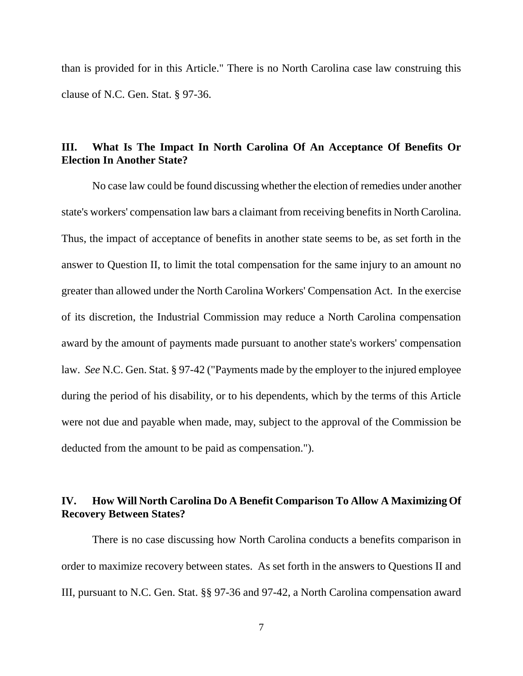than is provided for in this Article." There is no North Carolina case law construing this clause of N.C. Gen. Stat. § 97-36.

#### **III. What Is The Impact In North Carolina Of An Acceptance Of Benefits Or Election In Another State?**

No case law could be found discussing whether the election of remedies under another state's workers' compensation law bars a claimant from receiving benefits in North Carolina. Thus, the impact of acceptance of benefits in another state seems to be, as set forth in the answer to Question II, to limit the total compensation for the same injury to an amount no greater than allowed under the North Carolina Workers' Compensation Act. In the exercise of its discretion, the Industrial Commission may reduce a North Carolina compensation award by the amount of payments made pursuant to another state's workers' compensation law. *See* N.C. Gen. Stat. § 97-42 ("Payments made by the employer to the injured employee during the period of his disability, or to his dependents, which by the terms of this Article were not due and payable when made, may, subject to the approval of the Commission be deducted from the amount to be paid as compensation.").

### **IV. How Will North Carolina Do A Benefit Comparison To Allow A Maximizing Of Recovery Between States?**

There is no case discussing how North Carolina conducts a benefits comparison in order to maximize recovery between states. As set forth in the answers to Questions II and III, pursuant to N.C. Gen. Stat. §§ 97-36 and 97-42, a North Carolina compensation award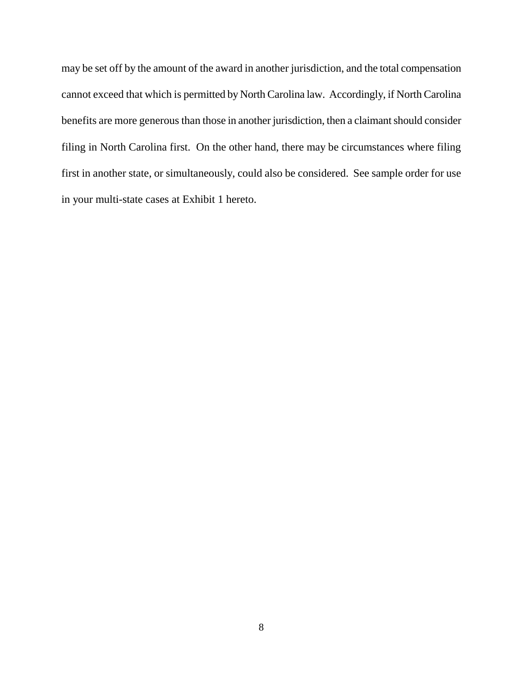may be set off by the amount of the award in another jurisdiction, and the total compensation cannot exceed that which is permitted by North Carolina law. Accordingly, if North Carolina benefits are more generous than those in another jurisdiction, then a claimant should consider filing in North Carolina first. On the other hand, there may be circumstances where filing first in another state, or simultaneously, could also be considered. See sample order for use in your multi-state cases at Exhibit 1 hereto.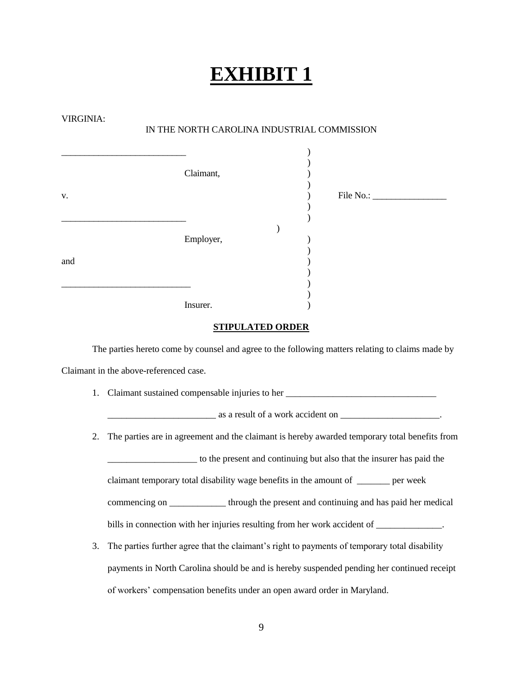# **EXHIBIT 1**

| VIRGINIA: | IN THE NORTH CAROLINA INDUSTRIAL COMMISSION                                                      |
|-----------|--------------------------------------------------------------------------------------------------|
| v.        | Claimant,                                                                                        |
| and       | Employer,                                                                                        |
|           | Insurer.                                                                                         |
|           | <b>STIPULATED ORDER</b>                                                                          |
|           | The parties hereto come by counsel and agree to the following matters relating to claims made by |
|           | Claimant in the above-referenced case.                                                           |
| 1.        | Claimant sustained compensable injuries to her __________________________________                |
|           | <u>______________________</u> as a result of a work accident on ______________________.          |
| 2.        | The parties are in agreement and the claimant is hereby awarded temporary total benefits from    |
|           | to the present and continuing but also that the insurer has paid the                             |
|           | claimant temporary total disability wage benefits in the amount of ______ per week               |
|           | commencing on ______________ through the present and continuing and has paid her medical         |
|           | bills in connection with her injuries resulting from her work accident of _____________.         |
| 3.        | The parties further agree that the claimant's right to payments of temporary total disability    |
|           | payments in North Carolina should be and is hereby suspended pending her continued receipt       |
|           | of workers' compensation benefits under an open award order in Maryland.                         |